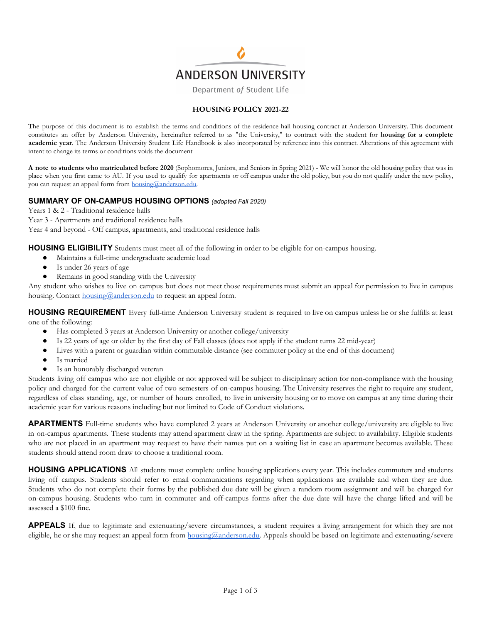

Department of Student Life

## **HOUSING POLICY 2021-22**

The purpose of this document is to establish the terms and conditions of the residence hall housing contract at Anderson University. This document constitutes an offer by Anderson University, hereinafter referred to as "the University," to contract with the student for **housing for a complete academic year**. The Anderson University Student Life Handbook is also incorporated by reference into this contract. Alterations of this agreement with intent to change its terms or conditions voids the document

**A note to students who matriculated before 2020** (Sophomores, Juniors, and Seniors in Spring 2021) - We will honor the old housing policy that was in place when you first came to AU. If you used to qualify for apartments or off campus under the old policy, but you do not qualify under the new policy, you can request an appeal form from [housing@anderson.edu.](mailto:housing@anderson.edu)

## **SUMMARY OF ON-CAMPUS HOUSING OPTIONS** *(adopted Fall 2020)*

Years 1 & 2 - Traditional residence halls

Year 3 - Apartments and traditional residence halls

Year 4 and beyond - Off campus, apartments, and traditional residence halls

**HOUSING ELIGIBILITY** Students must meet all of the following in order to be eligible for on-campus housing.

- Maintains a full-time undergraduate academic load
- Is under 26 years of age
- Remains in good standing with the University

Any student who wishes to live on campus but does not meet those requirements must submit an appeal for permission to live in campus housing. Contact [housing@anderson.edu](mailto:housing@anderson.edu) to request an appeal form.

**HOUSING REQUIREMENT** Every full-time Anderson University student is required to live on campus unless he or she fulfills at least one of the following:

- Has completed 3 years at Anderson University or another college/university
- Is 22 years of age or older by the first day of Fall classes (does not apply if the student turns 22 mid-year)
- Lives with a parent or guardian within commutable distance (see commuter policy at the end of this document)
- Is married
- Is an honorably discharged veteran

Students living off campus who are not eligible or not approved will be subject to disciplinary action for non-compliance with the housing policy and charged for the current value of two semesters of on-campus housing. The University reserves the right to require any student, regardless of class standing, age, or number of hours enrolled, to live in university housing or to move on campus at any time during their academic year for various reasons including but not limited to Code of Conduct violations.

**APARTMENTS** Full-time students who have completed 2 years at Anderson University or another college/university are eligible to live in on-campus apartments. These students may attend apartment draw in the spring. Apartments are subject to availability. Eligible students who are not placed in an apartment may request to have their names put on a waiting list in case an apartment becomes available. These students should attend room draw to choose a traditional room.

**HOUSING APPLICATIONS** All students must complete online housing applications every year. This includes commuters and students living off campus. Students should refer to email communications regarding when applications are available and when they are due. Students who do not complete their forms by the published due date will be given a random room assignment and will be charged for on-campus housing. Students who turn in commuter and off-campus forms after the due date will have the charge lifted and will be assessed a \$100 fine.

**APPEALS** If, due to legitimate and extenuating/severe circumstances, a student requires a living arrangement for which they are not eligible, he or she may request an appeal form from [housing@anderson.edu.](mailto:housing@anderson.edu) Appeals should be based on legitimate and extenuating/severe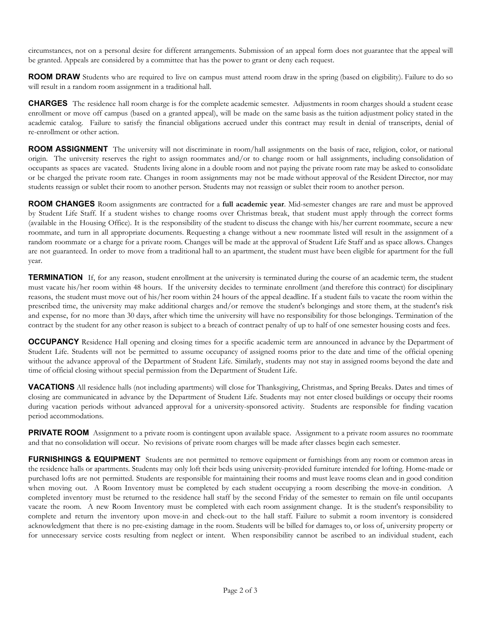circumstances, not on a personal desire for different arrangements. Submission of an appeal form does not guarantee that the appeal will be granted. Appeals are considered by a committee that has the power to grant or deny each request.

**ROOM DRAW** Students who are required to live on campus must attend room draw in the spring (based on eligibility). Failure to do so will result in a random room assignment in a traditional hall.

**CHARGES** The residence hall room charge is for the complete academic semester. Adjustments in room charges should a student cease enrollment or move off campus (based on a granted appeal), will be made on the same basis as the tuition adjustment policy stated in the academic catalog. Failure to satisfy the financial obligations accrued under this contract may result in denial of transcripts, denial of re-enrollment or other action.

**ROOM ASSIGNMENT** The university will not discriminate in room/hall assignments on the basis of race, religion, color, or national origin. The university reserves the right to assign roommates and/or to change room or hall assignments, including consolidation of occupants as spaces are vacated. Students living alone in a double room and not paying the private room rate may be asked to consolidate or be charged the private room rate. Changes in room assignments may not be made without approval of the Resident Director, nor may students reassign or sublet their room to another person. Students may not reassign or sublet their room to another person.

**ROOM CHANGES** Room assignments are contracted for a **full academic year**. Mid-semester changes are rare and must be approved by Student Life Staff. If a student wishes to change rooms over Christmas break, that student must apply through the correct forms (available in the Housing Office). It is the responsibility of the student to discuss the change with his/her current roommate, secure a new roommate, and turn in all appropriate documents. Requesting a change without a new roommate listed will result in the assignment of a random roommate or a charge for a private room. Changes will be made at the approval of Student Life Staff and as space allows. Changes are not guaranteed. In order to move from a traditional hall to an apartment, the student must have been eligible for apartment for the full year.

**TERMINATION** If, for any reason, student enrollment at the university is terminated during the course of an academic term, the student must vacate his/her room within 48 hours. If the university decides to terminate enrollment (and therefore this contract) for disciplinary reasons, the student must move out of his/her room within 24 hours of the appeal deadline. If a student fails to vacate the room within the prescribed time, the university may make additional charges and/or remove the student's belongings and store them, at the student's risk and expense, for no more than 30 days, after which time the university will have no responsibility for those belongings. Termination of the contract by the student for any other reason is subject to a breach of contract penalty of up to half of one semester housing costs and fees.

**OCCUPANCY** Residence Hall opening and closing times for a specific academic term are announced in advance by the Department of Student Life. Students will not be permitted to assume occupancy of assigned rooms prior to the date and time of the official opening without the advance approval of the Department of Student Life. Similarly, students may not stay in assigned rooms beyond the date and time of official closing without special permission from the Department of Student Life.

**VACATIONS** All residence halls (not including apartments) will close for Thanksgiving, Christmas, and Spring Breaks. Dates and times of closing are communicated in advance by the Department of Student Life. Students may not enter closed buildings or occupy their rooms during vacation periods without advanced approval for a university-sponsored activity. Students are responsible for finding vacation period accommodations.

**PRIVATE ROOM** Assignment to a private room is contingent upon available space. Assignment to a private room assures no roommate and that no consolidation will occur. No revisions of private room charges will be made after classes begin each semester.

**FURNISHINGS & EQUIPMENT** Students are not permitted to remove equipment or furnishings from any room or common areas in the residence halls or apartments. Students may only loft their beds using university-provided furniture intended for lofting. Home-made or purchased lofts are not permitted. Students are responsible for maintaining their rooms and must leave rooms clean and in good condition when moving out. A Room Inventory must be completed by each student occupying a room describing the move-in condition. A completed inventory must be returned to the residence hall staff by the second Friday of the semester to remain on file until occupants vacate the room. A new Room Inventory must be completed with each room assignment change. It is the student's responsibility to complete and return the inventory upon move-in and check-out to the hall staff. Failure to submit a room inventory is considered acknowledgment that there is no pre-existing damage in the room. Students will be billed for damages to, or loss of, university property or for unnecessary service costs resulting from neglect or intent. When responsibility cannot be ascribed to an individual student, each